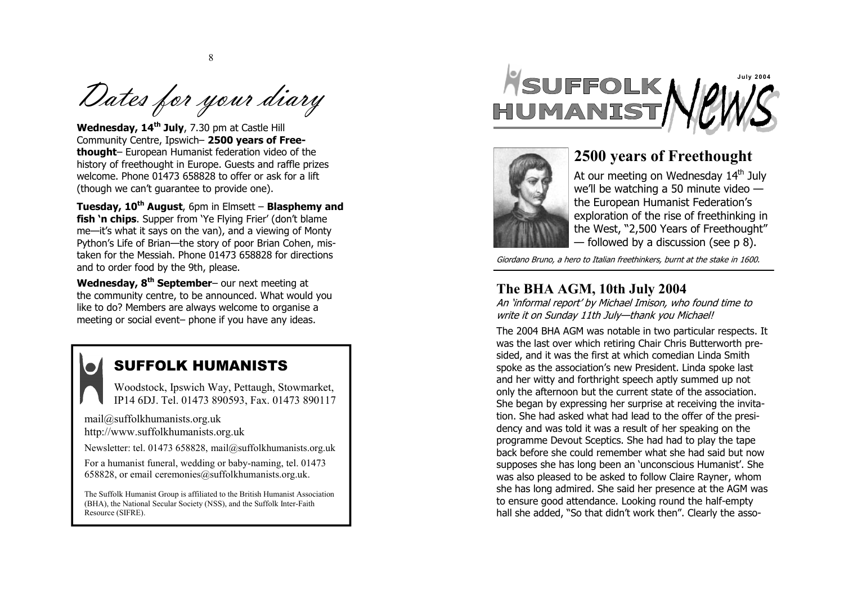Dates for your diary

8

**Wedne sday, 14th July** , 7 .30 pm at Castle Hill Community Centre, Ipswich- 2500 years of Free**thought**– European Humanist federation video of the history of freeth ought in Europe. Guests and raffle pri zes welcome. Ph one 01473 658828 to offer or a sk for a lift (thou gh we can't guarante e to provide one).

**Tuesday, 10th August** , 6 pm in Elmsett – **Blasphem y and fish 'n chips** . Supper fro m 'Ye Flying Frier' (don't blame me—it's what it says on the van), and a viewing of Monty Python's Life of Brian—the story of poor Brian Cohen, mistaken for the Messiah. Phone 01473 658828 for directions and to order food by the 9 th, please.

**Wedne sday, 8th September**– our next meeting at the community centre, to be announced. What would you like to do? Members are always welcome to organ ise a meeting or social event– phone if you have any ideas.

## SUFFOLK HUMANISTS

Woodstoc k, Ipswich Wa y , Pettau gh, Stow mar ket, IP14 6D J . Tel. 01473 890 593, Fax. 0 1473 8 90117

[mail@suffo](mailto:mail@suffolkhumanists.org.uk) l khu manists. o r g.uk [http://www.suffo](http://www.suffolkhumanists.org.uk)lkhumanists.org.uk

Newsletter: tel. 01473 658828, mail@suffo[lkhumanis](mailto:mail@suffolkhumanists.org.uk)ts.org.uk

For a human ist funeral, wedding or baby-n aming, tel. 01473 658828, or e mail cer e m [onies@suffo](mailto:ceremonies@suffolkhumanists.org.uk) lkhum anis ts.org.uk.

The Suffolk Humanist Group is affiliated to the British Humanist Association (BH A), the National Secular Societ y (NSS), and the Suffolk Inter-Faith Resource (SIFRE).





## **2500 years of F reethought**

At our meeting on Wednesday 14<sup>th</sup> July we'll be watching a 50 minute video the European Humanist Federation's exploratio n of the ris e of freethinking in the West, "2,500 Years of Freethought" — followe d by a discuss ion (see p 8).

*Giordano Bruno, a hero to Italian freethinkers, burnt at the stake in 1600.* 

## **The BHA AGM, 10th July 2004**

*An 'informal report' by Michael Imison, who found time to write it on Sunday 11th July—thank you Michael!* 

The 2004 BHA AGM was notable in two particular respects. It was the last over which retiring Chair Chris Butterworth presided, and it was the first at which comedian Linda Smith spoke as the as sociation's new President. Linda s poke last and her witty and forth righ t speech aptly summed up not only the aftern oon but the current state of the ass oci ation. She began by express ing her surprise at receiv ing the invitation. She had asked what had lead to the offer of the presidency and was told it was a result of her speaking on the programme Dev out Sceptics. She had had to play the tape back before she could rem ember what she had said but now supposes she has long be en an 'unconsci ous Humani st'. She was also pleased to be asked to follow Claire Rayne r , whom she has l ong admired. She said her presence at the AGM was to ensure good attendance. Looking round the half-empty hall she added, "So that didn't work then". Clearly the asso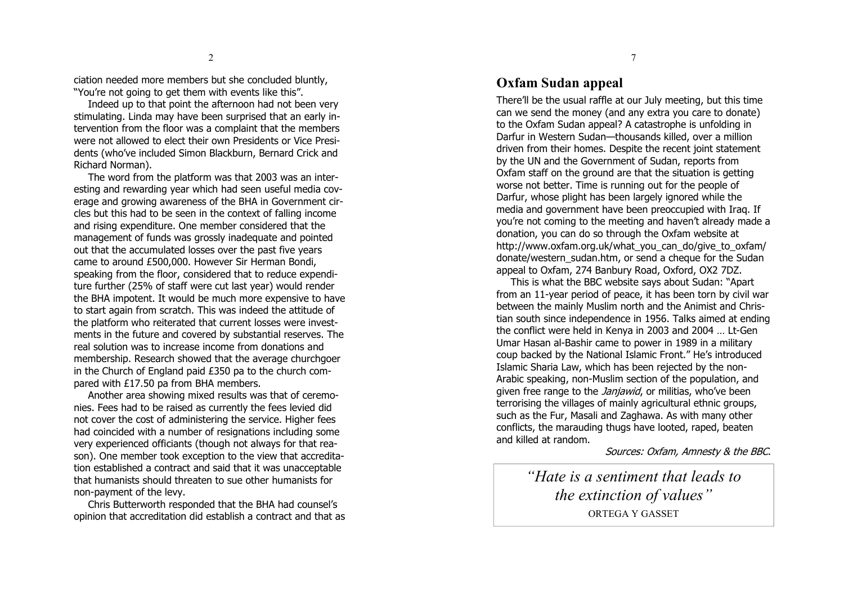ciation needed more mem bers but she concluded blun tly, "You're not going to get them with events l ike thi s".

Indeed up to that point the afternoon had not been very stimulating. Linda may have been surprised that an early intervention from the floor was a complaint that the members were not allowed to elect their own Presid ents or Vic e Presidents (who've included Simon Blackburn, Bernard Crick and Richard Norm an).

The word from the platform was that 2003 was an interesting and rewarding year which had seen useful media coverage and growing awareness of the BHA in Government circles but this had to be seen in the context of falling income and rising exp enditure. O n e member considered that the management of funds was grossly inadequate and po inted out that the accu mulated losses over the past five yea rs came to around £500,000. However Sir Herman B ondi, speaking from the floor, c onsidered that to reduce ex penditure further (25% of staff were cut last year) would render the BHA impotent. It would be much more expensive to have to start again from scratch . This was indeed the attitude of the platform who reiterate d that current losses were investments in the future and covered by substantial reserves. The real solution was to increa se income from d onations and membership. Research showed that the average churchgoer in the Church of England paid £350 pa to the church compared with £17.50 pa from BHA members.

Another area show ing mix ed results was that of cere monies. Fees had to be raised as currently the fees levied did not c over the cost of administering the service. H igher fees had co incided with a num ber of resignati ons including some very experienced off iciants (thou gh not always for that reason). One member took exception to the view that accreditation established a contract and said that it was unacceptable that humanists should threaten to sue other humanists for non -payment of the l evy.

Chris Butterwor th responded that the BHA had counsel's opini on that accreditati on did establish a c ontract and that as

### **Oxfam Sudan appeal**

There'll be the usual raffle at our July meetin g, but th is time can we send the money (and any extra you care to d onate) to the Oxfam Sudan appeal? A catastrophe is unfolding in Darfur in Western Sudan-thousands killed, over a million driven from their homes. Despite the recent joint stat ement by the UN an d the Gove rnment of Sudan , reports from Oxfam staff on the ground are that the situation is getting worse not better. Time is running out for the people of Darfur, whose plight has been largely ignored while the media and governm ent have been preoccupied with I raq. If you're not com ing to the meeting and hav en't already made a donation, y ou can do so t h rough the Oxfam website at [http://www.oxfam](http://www.oxfam.org.uk/what_you_can_do/give_to_oxfam/) .org.uk/what\_y ou\_can\_ do/give\_ to\_oxfam/ donate/western\_sudan.ht m, or send a cheque for the Sudan appeal to Oxfam, 274 Ban bury Road, O xford, OX2 7DZ.

This is what the BBC websi te says about Sudan: "Apart from an 11 -year period of peace, it has been to rn by c ivil war between the mainly Musli m north an d the Animist and Christian south since independence in 1956. Talks aimed at ending the confl ict were held in K enya in 2003 and 2004 … Lt -Gen Umar Hasan al-Bashir came to power in 1989 in a military coup b acked by the National Islamic Fr ont." He's intr oduced Islamic Sharia Law, which has been rejected by the n on-Arabic speaking, non-Muslim section of the population, and given free range to the *Janjawid*, or militias, who've b een terrorising the villages of mainly agricultural ethnic groups, such as the Fur, Masali an d Zaghawa. As with many o ther conflict s, the maraudin g thugs have looted, raped, b eaten and killed at random.

*Sources: Oxfam, Amnesty & the BBC*.

*"Hate is a sentim ent that leads to the extinction of values"*  OR TEG A Y GASSET

7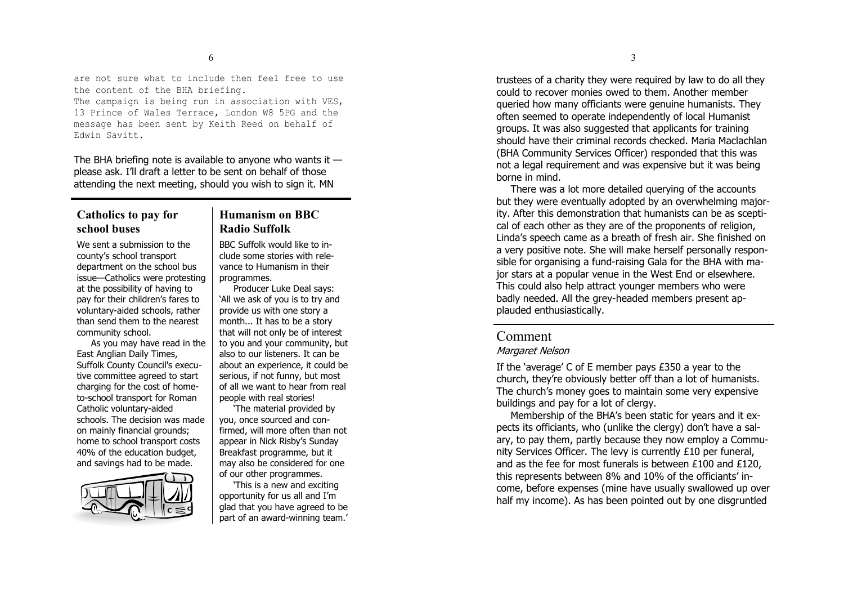are not sure what to include then feel free to use the content of the BHA briefing.

The campaign is being run in association with VES, 13 Prince of Wales Terrace, London W8 5PG and the message has been sent by Keith Reed on behalf of Edwin Savitt.

The BHA briefing note is available to anyone who wants it  $$ please ask. I'll draft a letter to be sent on b ehalf of th ose attending the next meetin g, sh ould you wi sh to si gn it . MN

### **Catholics to pay for school buses**

# **Humanism on BBC Radio Suffolk**

We sent a sub mission to the county's school transpor t departmen t on the school bus issue—Catholics were protesting at the possibility of havi ng to pay for thei r children's fa res to voluntary-aided schools, rather than send t hem to t he nearest community school.

As you may have read in the East A nglia n Daily Times, Suffolk County Council's executive committee agreed to start charging for t he cost of hometo-school transport for Roman Catholic voluntary-aided schools. The decision was made on mainly financial grounds; home to school transport costs 40% of the education budget, and savi ngs had to be made.



BBC Suffolk would like to include some stories with relevance to Humanism in their program mes.

Producer Luke Deal says: 'All we ask of you is to try and provide us with one story a month... It has to be a story that will not only be of in terest to you and your community, but also to our listeners. It can be about a n e xperience, it could be serious, if not funny, but most of all we want to hea r from real people with real stories!

'The material provided by you, once sourced and confirmed, will more often than not appea r in Nick Risby's Sunday Breakfas t prog ramme, but it may also be conside red for one of our other prog rammes.

'This is a new and exciti ng opportunity for us all a nd I'm glad tha t you have ag reed to be part of an award-winning team.'

trustees of a charity they were required by law to do all they could t o rec over monies o wed to them. Ano ther mem ber queried how many officiants were genuine humanists. They often seemed to operate independently of l ocal Hum anist groups. It was also sugges ted that applicants for train ing shoul d have their crim inal records checked. Maria Maclachlan (BHA Community Services Officer) responded that this was not a legal requirement an d was expensive but it was being borne in m ind.

There was a lot more detailed queryin g of the accoun ts but they were ev entually adopted by an overwhelm ing majority. After this demonstration that humanists can be as sceptical of each other as they are of the proponents of religion, Linda's speech came as a breath of fre sh air. She f ini shed on a very positive note. She will make herself personally responsible for organising a fund-raising Gala for the BHA with major stars at a popular venue in the West End or elsewhere. This c ould also help attract younger members who we re badly needed. All the grey-headed members present applauded enthusiastically.

### Co m ment

#### *Margaret Nelson*

If the 'average' C of E me mber pays £350 a year to the chu rch, they're o bviously better off than a lot of hum anists. The chu rch's m oney goes to maintain some very exp ensive building s and pay for a lot of cler gy.

Membership of the BHA's been static for years and it expects its officiants, who (unlike the clergy) don't have a salary, to pay them, partly because they now employ a Community Services Officer. The levy is currently £10 per funeral, and as the fee for most funerals is between £100 and £120, this represents between 8% and 10% of the offician ts' income, before expenses (mine have usually swallowed up over half my income). As has b een pointed out by one disg runtled